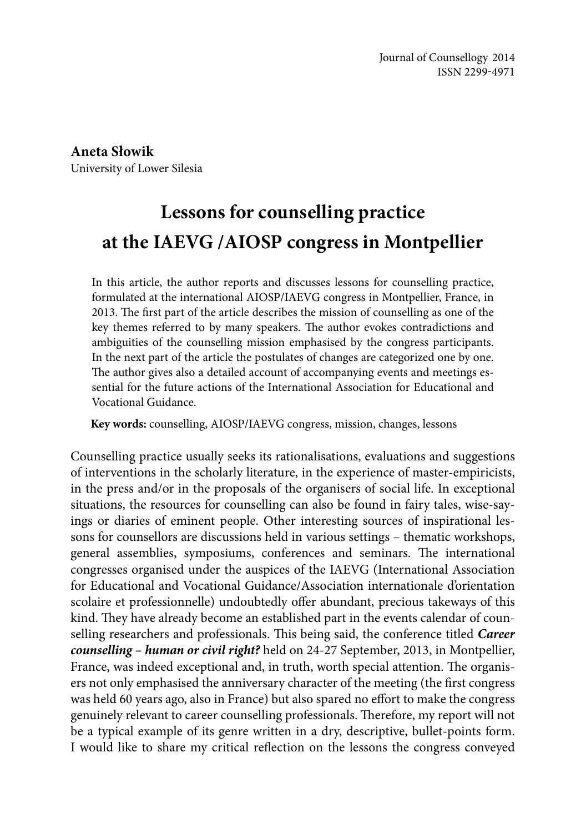**Aneta Słowik** University of Lower Silesia

# **Lessons for counselling practice at the IAEVG /AIOSP congress in Montpellier**

In this article, the author reports and discusses lessons for counselling practice, formulated at the international AIOSP/IAEVG congress in Montpellier, France, in 2013. The first part of the article describes the mission of counselling as one of the key themes referred to by many speakers. The author evokes contradictions and ambiguities of the counselling mission emphasised by the congress participants. In the next part of the article the postulates of changes are categorized one by one. The author gives also a detailed account of accompanying events and meetings essential for the future actions of the International Association for Educational and Vocational Guidance.

**Key words:** counselling, AIOSP/IAEVG congress, mission, changes, lessons

Counselling practice usually seeks its rationalisations, evaluations and suggestions of interventions in the scholarly literature, in the experience of master-empiricists, in the press and/or in the proposals of the organisers of social life. In exceptional situations, the resources for counselling can also be found in fairy tales, wise-sayings or diaries of eminent people. Other interesting sources of inspirational lessons for counsellors are discussions held in various settings – thematic workshops, general assemblies, symposiums, conferences and seminars. The international congresses organised under the auspices of the IAEVG (International Association for Educational and Vocational Guidance/Association internationale d'orientation scolaire et professionnelle) undoubtedly offer abundant, precious takeways of this kind. They have already become an established part in the events calendar of counselling researchers and professionals. This being said, the conference titled *Career counselling – human or civil right?* held on 24-27 September, 2013, in Montpellier, France, was indeed exceptional and, in truth, worth special attention. The organisers not only emphasised the anniversary character of the meeting (the first congress was held 60 years ago, also in France) but also spared no effort to make the congress genuinely relevant to career counselling professionals. Therefore, my report will not be a typical example of its genre written in a dry, descriptive, bullet-points form. I would like to share my critical reflection on the lessons the congress conveyed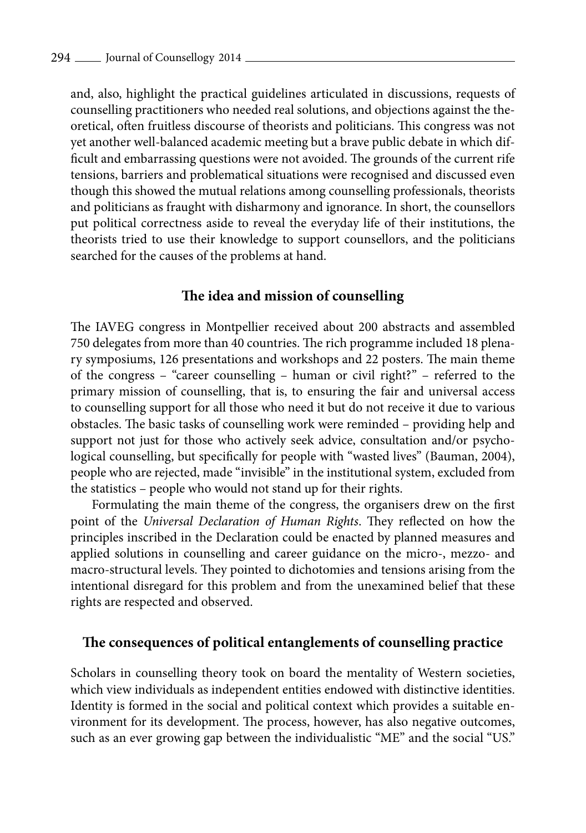and, also, highlight the practical guidelines articulated in discussions, requests of counselling practitioners who needed real solutions, and objections against the theoretical, often fruitless discourse of theorists and politicians. This congress was not yet another well-balanced academic meeting but a brave public debate in which difficult and embarrassing questions were not avoided. The grounds of the current rife tensions, barriers and problematical situations were recognised and discussed even though this showed the mutual relations among counselling professionals, theorists and politicians as fraught with disharmony and ignorance. In short, the counsellors put political correctness aside to reveal the everyday life of their institutions, the theorists tried to use their knowledge to support counsellors, and the politicians searched for the causes of the problems at hand.

#### **The idea and mission of counselling**

The IAVEG congress in Montpellier received about 200 abstracts and assembled 750 delegates from more than 40 countries. The rich programme included 18 plenary symposiums, 126 presentations and workshops and 22 posters. The main theme of the congress – "career counselling – human or civil right?" – referred to the primary mission of counselling, that is, to ensuring the fair and universal access to counselling support for all those who need it but do not receive it due to various obstacles. The basic tasks of counselling work were reminded – providing help and support not just for those who actively seek advice, consultation and/or psychological counselling, but specifically for people with "wasted lives" (Bauman, 2004), people who are rejected, made "invisible" in the institutional system, excluded from the statistics – people who would not stand up for their rights.

Formulating the main theme of the congress, the organisers drew on the first point of the *Universal Declaration of Human Rights*. They reflected on how the principles inscribed in the Declaration could be enacted by planned measures and applied solutions in counselling and career guidance on the micro-, mezzo- and macro-structural levels. They pointed to dichotomies and tensions arising from the intentional disregard for this problem and from the unexamined belief that these rights are respected and observed.

## **The consequences of political entanglements of counselling practice**

Scholars in counselling theory took on board the mentality of Western societies, which view individuals as independent entities endowed with distinctive identities. Identity is formed in the social and political context which provides a suitable environment for its development. The process, however, has also negative outcomes, such as an ever growing gap between the individualistic "ME" and the social "US."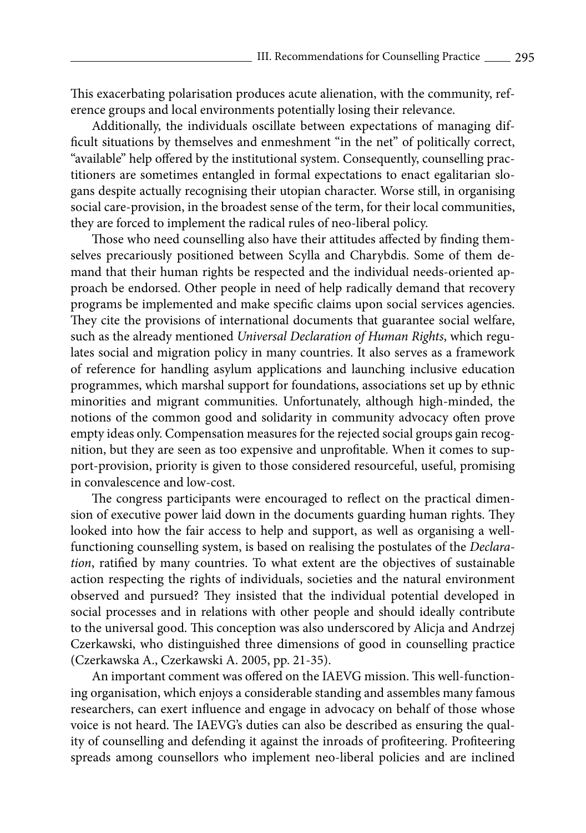This exacerbating polarisation produces acute alienation, with the community, reference groups and local environments potentially losing their relevance.

Additionally, the individuals oscillate between expectations of managing difficult situations by themselves and enmeshment "in the net" of politically correct, "available" help offered by the institutional system. Consequently, counselling practitioners are sometimes entangled in formal expectations to enact egalitarian slogans despite actually recognising their utopian character. Worse still, in organising social care-provision, in the broadest sense of the term, for their local communities, they are forced to implement the radical rules of neo-liberal policy.

Those who need counselling also have their attitudes affected by finding themselves precariously positioned between Scylla and Charybdis. Some of them demand that their human rights be respected and the individual needs-oriented approach be endorsed. Other people in need of help radically demand that recovery programs be implemented and make specific claims upon social services agencies. They cite the provisions of international documents that guarantee social welfare, such as the already mentioned *Universal Declaration of Human Rights*, which regulates social and migration policy in many countries. It also serves as a framework of reference for handling asylum applications and launching inclusive education programmes, which marshal support for foundations, associations set up by ethnic minorities and migrant communities. Unfortunately, although high-minded, the notions of the common good and solidarity in community advocacy often prove empty ideas only. Compensation measures for the rejected social groups gain recognition, but they are seen as too expensive and unprofitable. When it comes to support-provision, priority is given to those considered resourceful, useful, promising in convalescence and low-cost.

The congress participants were encouraged to reflect on the practical dimension of executive power laid down in the documents guarding human rights. They looked into how the fair access to help and support, as well as organising a wellfunctioning counselling system, is based on realising the postulates of the *Declaration*, ratified by many countries. To what extent are the objectives of sustainable action respecting the rights of individuals, societies and the natural environment observed and pursued? They insisted that the individual potential developed in social processes and in relations with other people and should ideally contribute to the universal good. This conception was also underscored by Alicja and Andrzej Czerkawski, who distinguished three dimensions of good in counselling practice (Czerkawska A., Czerkawski A. 2005, pp. 21-35).

An important comment was offered on the IAEVG mission. This well-functioning organisation, which enjoys a considerable standing and assembles many famous researchers, can exert influence and engage in advocacy on behalf of those whose voice is not heard. The IAEVG's duties can also be described as ensuring the quality of counselling and defending it against the inroads of profiteering. Profiteering spreads among counsellors who implement neo-liberal policies and are inclined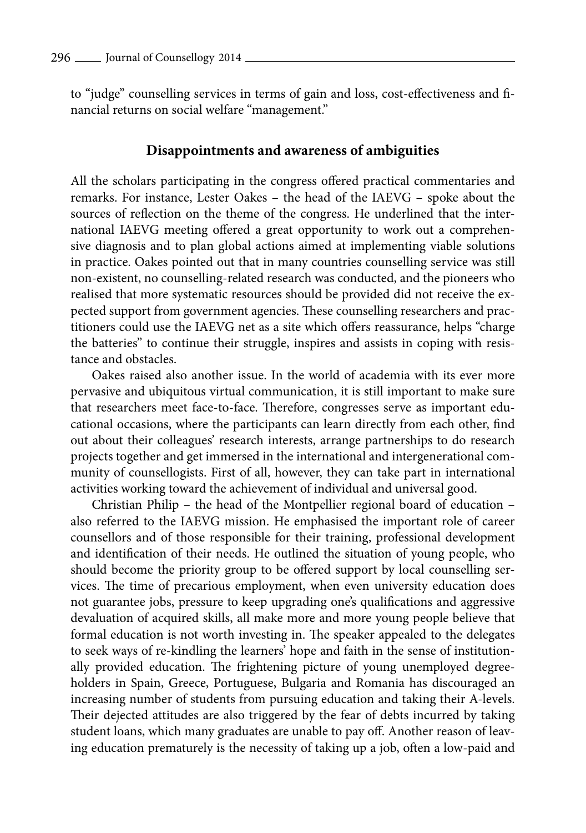to "judge" counselling services in terms of gain and loss, cost-effectiveness and financial returns on social welfare "management."

#### **Disappointments and awareness of ambiguities**

All the scholars participating in the congress offered practical commentaries and remarks. For instance, Lester Oakes – the head of the IAEVG – spoke about the sources of reflection on the theme of the congress. He underlined that the international IAEVG meeting offered a great opportunity to work out a comprehensive diagnosis and to plan global actions aimed at implementing viable solutions in practice. Oakes pointed out that in many countries counselling service was still non-existent, no counselling-related research was conducted, and the pioneers who realised that more systematic resources should be provided did not receive the expected support from government agencies. These counselling researchers and practitioners could use the IAEVG net as a site which offers reassurance, helps "charge the batteries" to continue their struggle, inspires and assists in coping with resistance and obstacles.

Oakes raised also another issue. In the world of academia with its ever more pervasive and ubiquitous virtual communication, it is still important to make sure that researchers meet face-to-face. Therefore, congresses serve as important educational occasions, where the participants can learn directly from each other, find out about their colleagues' research interests, arrange partnerships to do research projects together and get immersed in the international and intergenerational community of counsellogists. First of all, however, they can take part in international activities working toward the achievement of individual and universal good.

Christian Philip – the head of the Montpellier regional board of education – also referred to the IAEVG mission. He emphasised the important role of career counsellors and of those responsible for their training, professional development and identification of their needs. He outlined the situation of young people, who should become the priority group to be offered support by local counselling services. The time of precarious employment, when even university education does not guarantee jobs, pressure to keep upgrading one's qualifications and aggressive devaluation of acquired skills, all make more and more young people believe that formal education is not worth investing in. The speaker appealed to the delegates to seek ways of re-kindling the learners' hope and faith in the sense of institutionally provided education. The frightening picture of young unemployed degreeholders in Spain, Greece, Portuguese, Bulgaria and Romania has discouraged an increasing number of students from pursuing education and taking their A-levels. Their dejected attitudes are also triggered by the fear of debts incurred by taking student loans, which many graduates are unable to pay off. Another reason of leaving education prematurely is the necessity of taking up a job, often a low-paid and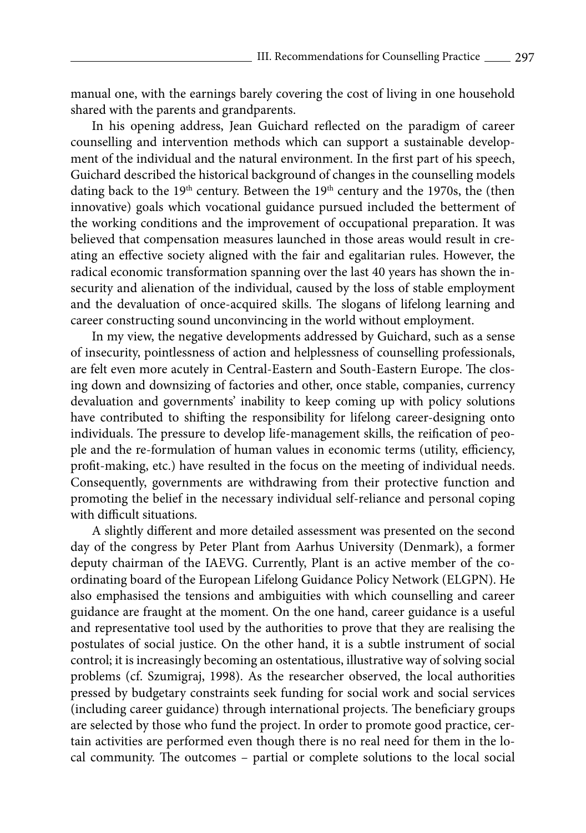manual one, with the earnings barely covering the cost of living in one household shared with the parents and grandparents.

In his opening address, Jean Guichard reflected on the paradigm of career counselling and intervention methods which can support a sustainable development of the individual and the natural environment. In the first part of his speech, Guichard described the historical background of changes in the counselling models dating back to the 19<sup>th</sup> century. Between the 19<sup>th</sup> century and the 1970s, the (then innovative) goals which vocational guidance pursued included the betterment of the working conditions and the improvement of occupational preparation. It was believed that compensation measures launched in those areas would result in creating an effective society aligned with the fair and egalitarian rules. However, the radical economic transformation spanning over the last 40 years has shown the insecurity and alienation of the individual, caused by the loss of stable employment and the devaluation of once-acquired skills. The slogans of lifelong learning and career constructing sound unconvincing in the world without employment.

In my view, the negative developments addressed by Guichard, such as a sense of insecurity, pointlessness of action and helplessness of counselling professionals, are felt even more acutely in Central-Eastern and South-Eastern Europe. The closing down and downsizing of factories and other, once stable, companies, currency devaluation and governments' inability to keep coming up with policy solutions have contributed to shifting the responsibility for lifelong career-designing onto individuals. The pressure to develop life-management skills, the reification of people and the re-formulation of human values in economic terms (utility, efficiency, profit-making, etc.) have resulted in the focus on the meeting of individual needs. Consequently, governments are withdrawing from their protective function and promoting the belief in the necessary individual self-reliance and personal coping with difficult situations.

A slightly different and more detailed assessment was presented on the second day of the congress by Peter Plant from Aarhus University (Denmark), a former deputy chairman of the IAEVG. Currently, Plant is an active member of the coordinating board of the European Lifelong Guidance Policy Network (ELGPN). He also emphasised the tensions and ambiguities with which counselling and career guidance are fraught at the moment. On the one hand, career guidance is a useful and representative tool used by the authorities to prove that they are realising the postulates of social justice. On the other hand, it is a subtle instrument of social control; it is increasingly becoming an ostentatious, illustrative way of solving social problems (cf. Szumigraj, 1998). As the researcher observed, the local authorities pressed by budgetary constraints seek funding for social work and social services (including career guidance) through international projects. The beneficiary groups are selected by those who fund the project. In order to promote good practice, certain activities are performed even though there is no real need for them in the local community. The outcomes – partial or complete solutions to the local social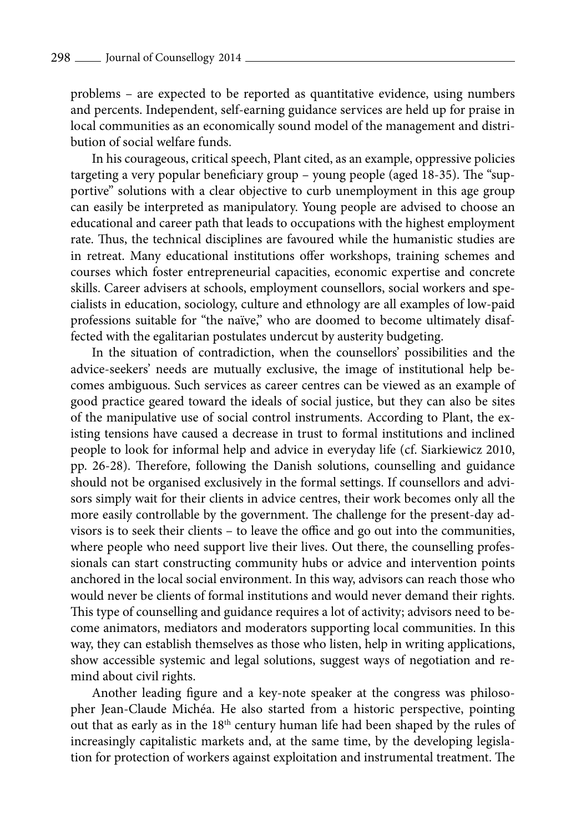problems – are expected to be reported as quantitative evidence, using numbers and percents. Independent, self-earning guidance services are held up for praise in local communities as an economically sound model of the management and distribution of social welfare funds.

In his courageous, critical speech, Plant cited, as an example, oppressive policies targeting a very popular beneficiary group – young people (aged 18-35). The "supportive" solutions with a clear objective to curb unemployment in this age group can easily be interpreted as manipulatory. Young people are advised to choose an educational and career path that leads to occupations with the highest employment rate. Thus, the technical disciplines are favoured while the humanistic studies are in retreat. Many educational institutions offer workshops, training schemes and courses which foster entrepreneurial capacities, economic expertise and concrete skills. Career advisers at schools, employment counsellors, social workers and specialists in education, sociology, culture and ethnology are all examples of low-paid professions suitable for "the naïve," who are doomed to become ultimately disaffected with the egalitarian postulates undercut by austerity budgeting.

In the situation of contradiction, when the counsellors' possibilities and the advice-seekers' needs are mutually exclusive, the image of institutional help becomes ambiguous. Such services as career centres can be viewed as an example of good practice geared toward the ideals of social justice, but they can also be sites of the manipulative use of social control instruments. According to Plant, the existing tensions have caused a decrease in trust to formal institutions and inclined people to look for informal help and advice in everyday life (cf. Siarkiewicz 2010, pp. 26-28). Therefore, following the Danish solutions, counselling and guidance should not be organised exclusively in the formal settings. If counsellors and advisors simply wait for their clients in advice centres, their work becomes only all the more easily controllable by the government. The challenge for the present-day advisors is to seek their clients – to leave the office and go out into the communities, where people who need support live their lives. Out there, the counselling professionals can start constructing community hubs or advice and intervention points anchored in the local social environment. In this way, advisors can reach those who would never be clients of formal institutions and would never demand their rights. This type of counselling and guidance requires a lot of activity; advisors need to become animators, mediators and moderators supporting local communities. In this way, they can establish themselves as those who listen, help in writing applications, show accessible systemic and legal solutions, suggest ways of negotiation and remind about civil rights.

Another leading figure and a key-note speaker at the congress was philosopher Jean-Claude Michéa. He also started from a historic perspective, pointing out that as early as in the 18<sup>th</sup> century human life had been shaped by the rules of increasingly capitalistic markets and, at the same time, by the developing legislation for protection of workers against exploitation and instrumental treatment. The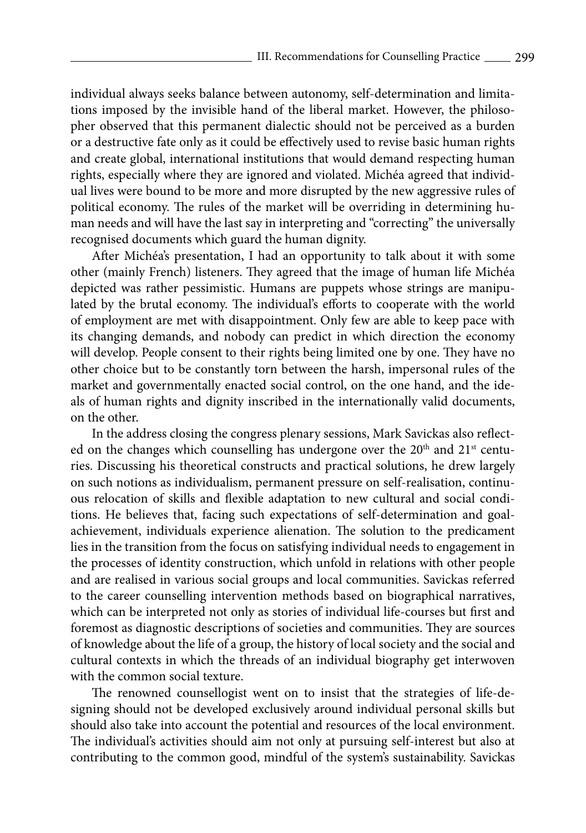individual always seeks balance between autonomy, self-determination and limitations imposed by the invisible hand of the liberal market. However, the philosopher observed that this permanent dialectic should not be perceived as a burden or a destructive fate only as it could be effectively used to revise basic human rights and create global, international institutions that would demand respecting human rights, especially where they are ignored and violated. Michéa agreed that individual lives were bound to be more and more disrupted by the new aggressive rules of political economy. The rules of the market will be overriding in determining human needs and will have the last say in interpreting and "correcting" the universally recognised documents which guard the human dignity.

After Michéa's presentation, I had an opportunity to talk about it with some other (mainly French) listeners. They agreed that the image of human life Michéa depicted was rather pessimistic. Humans are puppets whose strings are manipulated by the brutal economy. The individual's efforts to cooperate with the world of employment are met with disappointment. Only few are able to keep pace with its changing demands, and nobody can predict in which direction the economy will develop. People consent to their rights being limited one by one. They have no other choice but to be constantly torn between the harsh, impersonal rules of the market and governmentally enacted social control, on the one hand, and the ideals of human rights and dignity inscribed in the internationally valid documents, on the other.

In the address closing the congress plenary sessions, Mark Savickas also reflected on the changes which counselling has undergone over the  $20<sup>th</sup>$  and  $21<sup>st</sup>$  centuries. Discussing his theoretical constructs and practical solutions, he drew largely on such notions as individualism, permanent pressure on self-realisation, continuous relocation of skills and flexible adaptation to new cultural and social conditions. He believes that, facing such expectations of self-determination and goalachievement, individuals experience alienation. The solution to the predicament lies in the transition from the focus on satisfying individual needs to engagement in the processes of identity construction, which unfold in relations with other people and are realised in various social groups and local communities. Savickas referred to the career counselling intervention methods based on biographical narratives, which can be interpreted not only as stories of individual life-courses but first and foremost as diagnostic descriptions of societies and communities. They are sources of knowledge about the life of a group, the history of local society and the social and cultural contexts in which the threads of an individual biography get interwoven with the common social texture.

The renowned counsellogist went on to insist that the strategies of life-designing should not be developed exclusively around individual personal skills but should also take into account the potential and resources of the local environment. The individual's activities should aim not only at pursuing self-interest but also at contributing to the common good, mindful of the system's sustainability. Savickas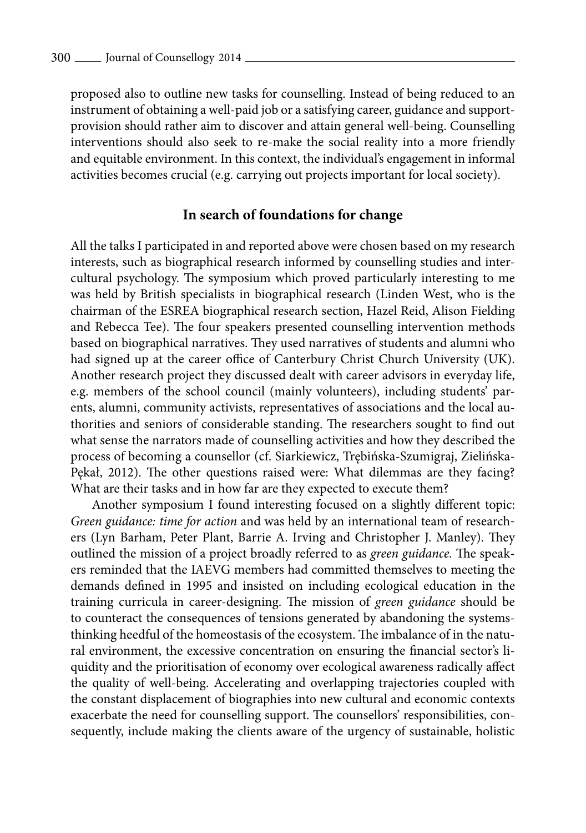proposed also to outline new tasks for counselling. Instead of being reduced to an instrument of obtaining a well-paid job or a satisfying career, guidance and supportprovision should rather aim to discover and attain general well-being. Counselling interventions should also seek to re-make the social reality into a more friendly and equitable environment. In this context, the individual's engagement in informal activities becomes crucial (e.g. carrying out projects important for local society).

#### **In search of foundations for change**

All the talks I participated in and reported above were chosen based on my research interests, such as biographical research informed by counselling studies and intercultural psychology. The symposium which proved particularly interesting to me was held by British specialists in biographical research (Linden West, who is the chairman of the ESREA biographical research section, Hazel Reid, Alison Fielding and Rebecca Tee). The four speakers presented counselling intervention methods based on biographical narratives. They used narratives of students and alumni who had signed up at the career office of Canterbury Christ Church University (UK). Another research project they discussed dealt with career advisors in everyday life, e.g. members of the school council (mainly volunteers), including students' parents, alumni, community activists, representatives of associations and the local authorities and seniors of considerable standing. The researchers sought to find out what sense the narrators made of counselling activities and how they described the process of becoming a counsellor (cf. Siarkiewicz, Trębińska-Szumigraj, Zielińska-Pękał, 2012). The other questions raised were: What dilemmas are they facing? What are their tasks and in how far are they expected to execute them?

Another symposium I found interesting focused on a slightly different topic: *Green guidance: time for action* and was held by an international team of researchers (Lyn Barham, Peter Plant, Barrie A. Irving and Christopher J. Manley). They outlined the mission of a project broadly referred to as *green guidance.* The speakers reminded that the IAEVG members had committed themselves to meeting the demands defined in 1995 and insisted on including ecological education in the training curricula in career-designing. The mission of *green guidance* should be to counteract the consequences of tensions generated by abandoning the systemsthinking heedful of the homeostasis of the ecosystem. The imbalance of in the natural environment, the excessive concentration on ensuring the financial sector's liquidity and the prioritisation of economy over ecological awareness radically affect the quality of well-being. Accelerating and overlapping trajectories coupled with the constant displacement of biographies into new cultural and economic contexts exacerbate the need for counselling support. The counsellors' responsibilities, consequently, include making the clients aware of the urgency of sustainable, holistic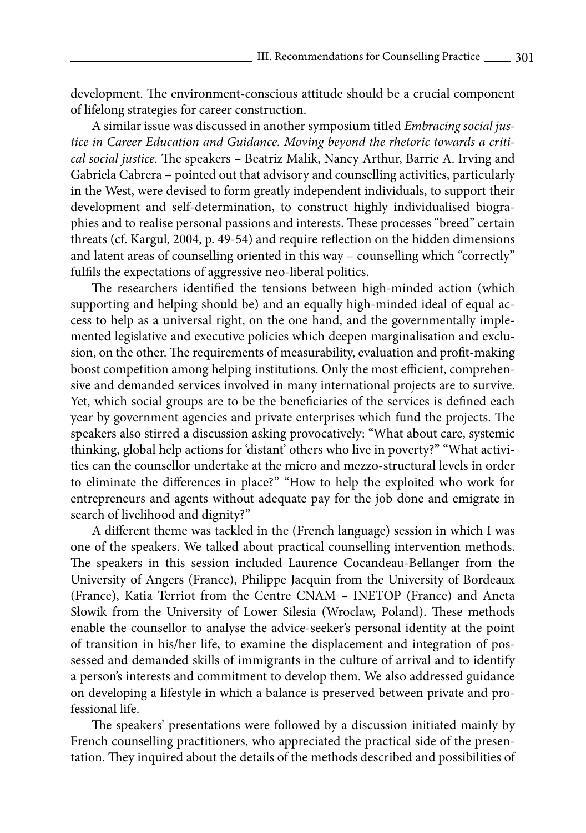development. The environment-conscious attitude should be a crucial component of lifelong strategies for career construction.

A similar issue was discussed in another symposium titled *Embracing social justice in Career Education and Guidance. Moving beyond the rhetoric towards a critical social justice.* The speakers – Beatriz Malik, Nancy Arthur, Barrie A. Irving and Gabriela Cabrera – pointed out that advisory and counselling activities, particularly in the West, were devised to form greatly independent individuals, to support their development and self-determination, to construct highly individualised biographies and to realise personal passions and interests. These processes "breed" certain threats (cf. Kargul, 2004, p. 49-54) and require reflection on the hidden dimensions and latent areas of counselling oriented in this way – counselling which "correctly" fulfils the expectations of aggressive neo-liberal politics.

The researchers identified the tensions between high-minded action (which supporting and helping should be) and an equally high-minded ideal of equal access to help as a universal right, on the one hand, and the governmentally implemented legislative and executive policies which deepen marginalisation and exclusion, on the other. The requirements of measurability, evaluation and profit-making boost competition among helping institutions. Only the most efficient, comprehensive and demanded services involved in many international projects are to survive. Yet, which social groups are to be the beneficiaries of the services is defined each year by government agencies and private enterprises which fund the projects. The speakers also stirred a discussion asking provocatively: "What about care, systemic thinking, global help actions for 'distant' others who live in poverty?" "What activities can the counsellor undertake at the micro and mezzo-structural levels in order to eliminate the differences in place?" "How to help the exploited who work for entrepreneurs and agents without adequate pay for the job done and emigrate in search of livelihood and dignity?"

A different theme was tackled in the (French language) session in which I was one of the speakers. We talked about practical counselling intervention methods. The speakers in this session included Laurence Cocandeau-Bellanger from the University of Angers (France), Philippe Jacquin from the University of Bordeaux (France), Katia Terriot from the Centre CNAM – INETOP (France) and Aneta Słowik from the University of Lower Silesia (Wroclaw, Poland). These methods enable the counsellor to analyse the advice-seeker's personal identity at the point of transition in his/her life, to examine the displacement and integration of possessed and demanded skills of immigrants in the culture of arrival and to identify a person's interests and commitment to develop them. We also addressed guidance on developing a lifestyle in which a balance is preserved between private and professional life.

The speakers' presentations were followed by a discussion initiated mainly by French counselling practitioners, who appreciated the practical side of the presentation. They inquired about the details of the methods described and possibilities of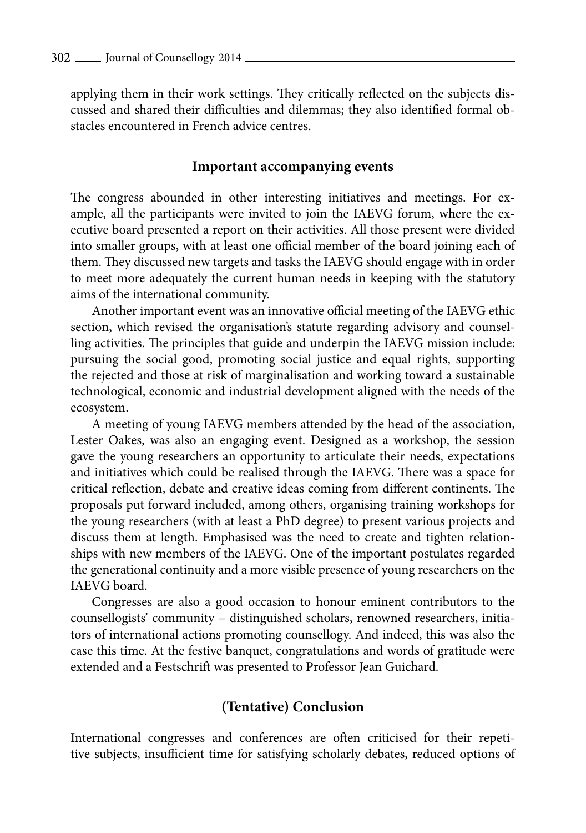applying them in their work settings. They critically reflected on the subjects discussed and shared their difficulties and dilemmas; they also identified formal obstacles encountered in French advice centres.

#### **Important accompanying events**

The congress abounded in other interesting initiatives and meetings. For example, all the participants were invited to join the IAEVG forum, where the executive board presented a report on their activities. All those present were divided into smaller groups, with at least one official member of the board joining each of them. They discussed new targets and tasks the IAEVG should engage with in order to meet more adequately the current human needs in keeping with the statutory aims of the international community.

Another important event was an innovative official meeting of the IAEVG ethic section, which revised the organisation's statute regarding advisory and counselling activities. The principles that guide and underpin the IAEVG mission include: pursuing the social good, promoting social justice and equal rights, supporting the rejected and those at risk of marginalisation and working toward a sustainable technological, economic and industrial development aligned with the needs of the ecosystem.

A meeting of young IAEVG members attended by the head of the association, Lester Oakes, was also an engaging event. Designed as a workshop, the session gave the young researchers an opportunity to articulate their needs, expectations and initiatives which could be realised through the IAEVG. There was a space for critical reflection, debate and creative ideas coming from different continents. The proposals put forward included, among others, organising training workshops for the young researchers (with at least a PhD degree) to present various projects and discuss them at length. Emphasised was the need to create and tighten relationships with new members of the IAEVG. One of the important postulates regarded the generational continuity and a more visible presence of young researchers on the IAEVG board.

Congresses are also a good occasion to honour eminent contributors to the counsellogists' community – distinguished scholars, renowned researchers, initiators of international actions promoting counsellogy. And indeed, this was also the case this time. At the festive banquet, congratulations and words of gratitude were extended and a Festschrift was presented to Professor Jean Guichard.

### **(Tentative) Conclusion**

International congresses and conferences are often criticised for their repetitive subjects, insufficient time for satisfying scholarly debates, reduced options of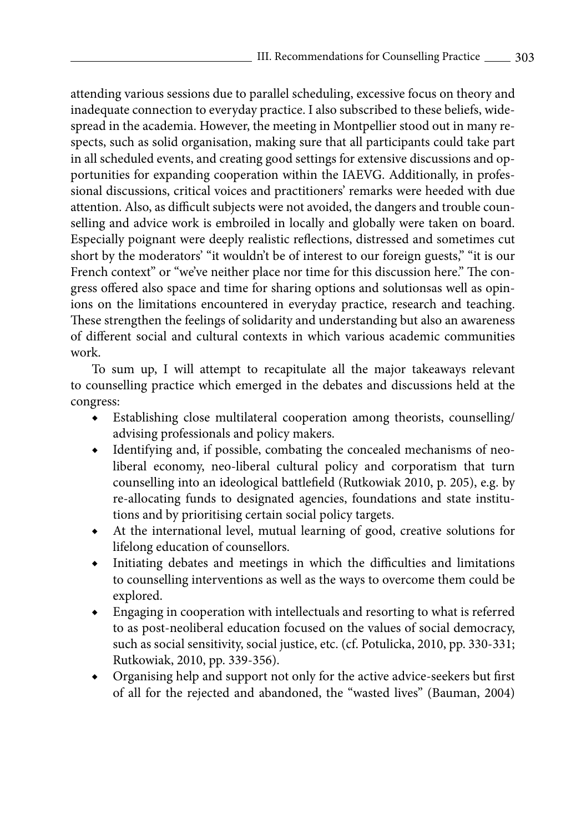attending various sessions due to parallel scheduling, excessive focus on theory and inadequate connection to everyday practice. I also subscribed to these beliefs, widespread in the academia. However, the meeting in Montpellier stood out in many respects, such as solid organisation, making sure that all participants could take part in all scheduled events, and creating good settings for extensive discussions and opportunities for expanding cooperation within the IAEVG. Additionally, in professional discussions, critical voices and practitioners' remarks were heeded with due attention. Also, as difficult subjects were not avoided, the dangers and trouble counselling and advice work is embroiled in locally and globally were taken on board. Especially poignant were deeply realistic reflections, distressed and sometimes cut short by the moderators' "it wouldn't be of interest to our foreign guests," "it is our French context" or "we've neither place nor time for this discussion here." The congress offered also space and time for sharing options and solutionsas well as opinions on the limitations encountered in everyday practice, research and teaching. These strengthen the feelings of solidarity and understanding but also an awareness of different social and cultural contexts in which various academic communities work.

To sum up, I will attempt to recapitulate all the major takeaways relevant to counselling practice which emerged in the debates and discussions held at the congress:

- ◆ Establishing close multilateral cooperation among theorists, counselling/ advising professionals and policy makers.
- ◆ Identifying and, if possible, combating the concealed mechanisms of neoliberal economy, neo-liberal cultural policy and corporatism that turn counselling into an ideological battlefield (Rutkowiak 2010, p. 205), e.g. by re-allocating funds to designated agencies, foundations and state institutions and by prioritising certain social policy targets.
- At the international level, mutual learning of good, creative solutions for lifelong education of counsellors.
- Initiating debates and meetings in which the difficulties and limitations to counselling interventions as well as the ways to overcome them could be explored.
- Engaging in cooperation with intellectuals and resorting to what is referred to as post-neoliberal education focused on the values of social democracy, such as social sensitivity, social justice, etc. (cf. Potulicka, 2010, pp. 330-331; Rutkowiak, 2010, pp. 339-356).
- Organising help and support not only for the active advice-seekers but first of all for the rejected and abandoned, the "wasted lives" (Bauman, 2004)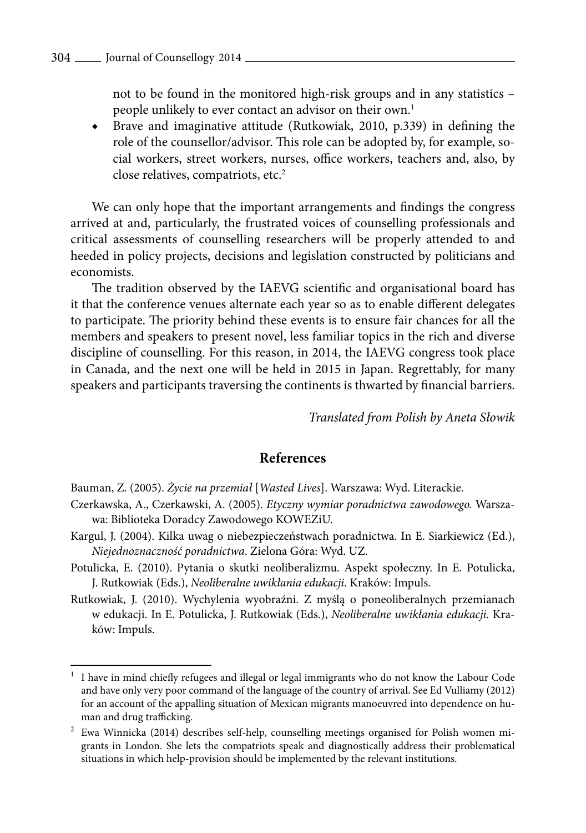not to be found in the monitored high-risk groups and in any statistics – people unlikely to ever contact an advisor on their own.<sup>1</sup>

◆ Brave and imaginative attitude (Rutkowiak, 2010, p.339) in defining the role of the counsellor/advisor. This role can be adopted by, for example, social workers, street workers, nurses, office workers, teachers and, also, by close relatives, compatriots, etc.2

We can only hope that the important arrangements and findings the congress arrived at and, particularly, the frustrated voices of counselling professionals and critical assessments of counselling researchers will be properly attended to and heeded in policy projects, decisions and legislation constructed by politicians and economists.

The tradition observed by the IAEVG scientific and organisational board has it that the conference venues alternate each year so as to enable different delegates to participate. The priority behind these events is to ensure fair chances for all the members and speakers to present novel, less familiar topics in the rich and diverse discipline of counselling. For this reason, in 2014, the IAEVG congress took place in Canada, and the next one will be held in 2015 in Japan. Regrettably, for many speakers and participants traversing the continents is thwarted by financial barriers.

*Translated from Polish by Aneta Słowik* 

## **References**

Bauman, Z. (2005). *Życie na przemiał* [*Wasted Lives*]. Warszawa: Wyd. Literackie.

- Czerkawska, A., Czerkawski, A. (2005). *Etyczny wymiar poradnictwa zawodowego.* Warszawa: Biblioteka Doradcy Zawodowego KOWEZiU.
- Kargul, J. (2004). Kilka uwag o niebezpieczeństwach poradnictwa*.* In E. Siarkiewicz (Ed.), *Niejednoznaczność poradnictwa*. Zielona Góra: Wyd. UZ.
- Potulicka, E. (2010). Pytania o skutki neoliberalizmu. Aspekt społeczny. In E. Potulicka, J. Rutkowiak (Eds.), *Neoliberalne uwikłania edukacji*. Kraków: Impuls.
- Rutkowiak, J. (2010). Wychylenia wyobraźni. Z myślą o poneoliberalnych przemianach w edukacji. In E. Potulicka, J. Rutkowiak (Eds.), *Neoliberalne uwikłania edukacji*. Kraków: Impuls.

 $1$  I have in mind chiefly refugees and illegal or legal immigrants who do not know the Labour Code and have only very poor command of the language of the country of arrival. See Ed Vulliamy (2012) for an account of the appalling situation of Mexican migrants manoeuvred into dependence on human and drug trafficking.

<sup>2</sup> Ewa Winnicka (2014) describes self-help, counselling meetings organised for Polish women migrants in London. She lets the compatriots speak and diagnostically address their problematical situations in which help-provision should be implemented by the relevant institutions.